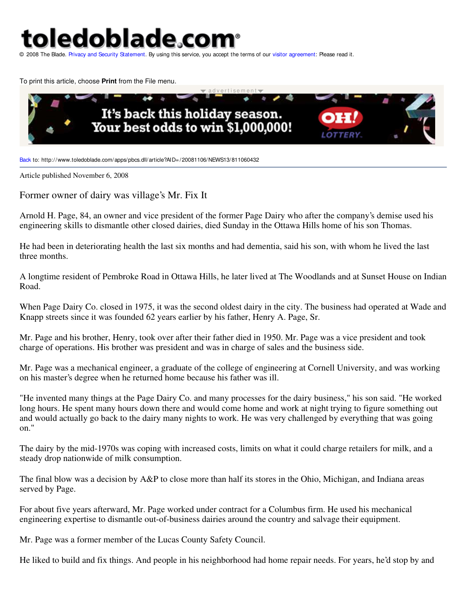toledoblade.con

© 2008 The Blade. Privacy and Security Statement. By using this service, you accept the terms of our visitor agreement: Please read it.

To print this article, choose **Print** from the File menu.



Back to: http://www.toledoblade.com/apps/pbcs.dll/article?AID=/20081106/NEWS13/811060432

Article published November 6, 2008

Former owner of dairy was village's Mr. Fix It

Arnold H. Page, 84, an owner and vice president of the former Page Dairy who after the company's demise used his engineering skills to dismantle other closed dairies, died Sunday in the Ottawa Hills home of his son Thomas.

He had been in deteriorating health the last six months and had dementia, said his son, with whom he lived the last three months.

A longtime resident of Pembroke Road in Ottawa Hills, he later lived at The Woodlands and at Sunset House on Indian Road.

When Page Dairy Co. closed in 1975, it was the second oldest dairy in the city. The business had operated at Wade and Knapp streets since it was founded 62 years earlier by his father, Henry A. Page, Sr.

Mr. Page and his brother, Henry, took over after their father died in 1950. Mr. Page was a vice president and took charge of operations. His brother was president and was in charge of sales and the business side.

Mr. Page was a mechanical engineer, a graduate of the college of engineering at Cornell University, and was working on his master's degree when he returned home because his father was ill.

"He invented many things at the Page Dairy Co. and many processes for the dairy business," his son said. "He worked long hours. He spent many hours down there and would come home and work at night trying to figure something out and would actually go back to the dairy many nights to work. He was very challenged by everything that was going on."

The dairy by the mid-1970s was coping with increased costs, limits on what it could charge retailers for milk, and a steady drop nationwide of milk consumption.

The final blow was a decision by A&P to close more than half its stores in the Ohio, Michigan, and Indiana areas served by Page.

For about five years afterward, Mr. Page worked under contract for a Columbus firm. He used his mechanical engineering expertise to dismantle out-of-business dairies around the country and salvage their equipment.

Mr. Page was a former member of the Lucas County Safety Council.

He liked to build and fix things. And people in his neighborhood had home repair needs. For years, he'd stop by and